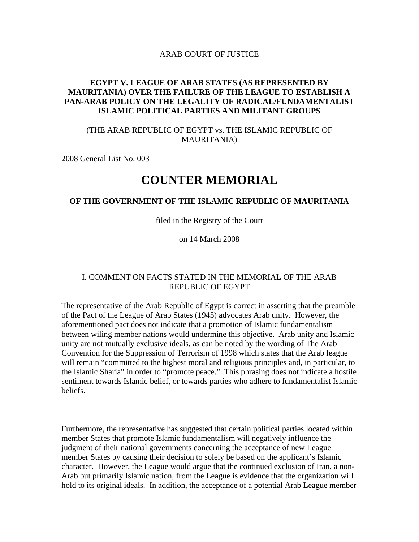#### ARAB COURT OF JUSTICE

## **EGYPT V. LEAGUE OF ARAB STATES (AS REPRESENTED BY MAURITANIA) OVER THE FAILURE OF THE LEAGUE TO ESTABLISH A PAN-ARAB POLICY ON THE LEGALITY OF RADICAL/FUNDAMENTALIST ISLAMIC POLITICAL PARTIES AND MILITANT GROUPS**

## (THE ARAB REPUBLIC OF EGYPT vs. THE ISLAMIC REPUBLIC OF MAURITANIA)

2008 General List No. 003

# **COUNTER MEMORIAL**

#### **OF THE GOVERNMENT OF THE ISLAMIC REPUBLIC OF MAURITANIA**

filed in the Registry of the Court

on 14 March 2008

#### I. COMMENT ON FACTS STATED IN THE MEMORIAL OF THE ARAB REPUBLIC OF EGYPT

The representative of the Arab Republic of Egypt is correct in asserting that the preamble of the Pact of the League of Arab States (1945) advocates Arab unity. However, the aforementioned pact does not indicate that a promotion of Islamic fundamentalism between wiling member nations would undermine this objective. Arab unity and Islamic unity are not mutually exclusive ideals, as can be noted by the wording of The Arab Convention for the Suppression of Terrorism of 1998 which states that the Arab league will remain "committed to the highest moral and religious principles and, in particular, to the Islamic Sharia" in order to "promote peace." This phrasing does not indicate a hostile sentiment towards Islamic belief, or towards parties who adhere to fundamentalist Islamic beliefs.

Furthermore, the representative has suggested that certain political parties located within member States that promote Islamic fundamentalism will negatively influence the judgment of their national governments concerning the acceptance of new League member States by causing their decision to solely be based on the applicant's Islamic character. However, the League would argue that the continued exclusion of Iran, a non-Arab but primarily Islamic nation, from the League is evidence that the organization will hold to its original ideals. In addition, the acceptance of a potential Arab League member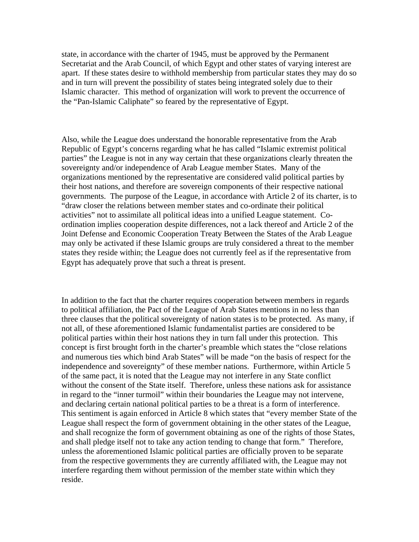state, in accordance with the charter of 1945, must be approved by the Permanent Secretariat and the Arab Council, of which Egypt and other states of varying interest are apart. If these states desire to withhold membership from particular states they may do so and in turn will prevent the possibility of states being integrated solely due to their Islamic character. This method of organization will work to prevent the occurrence of the "Pan-Islamic Caliphate" so feared by the representative of Egypt.

Also, while the League does understand the honorable representative from the Arab Republic of Egypt's concerns regarding what he has called "Islamic extremist political parties" the League is not in any way certain that these organizations clearly threaten the sovereignty and/or independence of Arab League member States. Many of the organizations mentioned by the representative are considered valid political parties by their host nations, and therefore are sovereign components of their respective national governments. The purpose of the League, in accordance with Article 2 of its charter, is to "draw closer the relations between member states and co-ordinate their political activities" not to assimilate all political ideas into a unified League statement. Coordination implies cooperation despite differences, not a lack thereof and Article 2 of the Joint Defense and Economic Cooperation Treaty Between the States of the Arab League may only be activated if these Islamic groups are truly considered a threat to the member states they reside within; the League does not currently feel as if the representative from Egypt has adequately prove that such a threat is present.

In addition to the fact that the charter requires cooperation between members in regards to political affiliation, the Pact of the League of Arab States mentions in no less than three clauses that the political sovereignty of nation states is to be protected. As many, if not all, of these aforementioned Islamic fundamentalist parties are considered to be political parties within their host nations they in turn fall under this protection. This concept is first brought forth in the charter's preamble which states the "close relations and numerous ties which bind Arab States" will be made "on the basis of respect for the independence and sovereignty" of these member nations. Furthermore, within Article 5 of the same pact, it is noted that the League may not interfere in any State conflict without the consent of the State itself. Therefore, unless these nations ask for assistance in regard to the "inner turmoil" within their boundaries the League may not intervene, and declaring certain national political parties to be a threat is a form of interference. This sentiment is again enforced in Article 8 which states that "every member State of the League shall respect the form of government obtaining in the other states of the League, and shall recognize the form of government obtaining as one of the rights of those States, and shall pledge itself not to take any action tending to change that form." Therefore, unless the aforementioned Islamic political parties are officially proven to be separate from the respective governments they are currently affiliated with, the League may not interfere regarding them without permission of the member state within which they reside.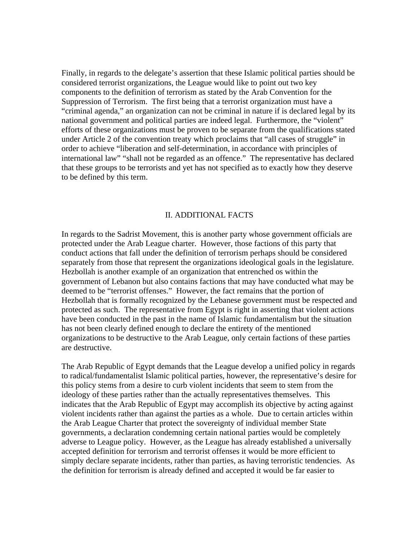Finally, in regards to the delegate's assertion that these Islamic political parties should be considered terrorist organizations, the League would like to point out two key components to the definition of terrorism as stated by the Arab Convention for the Suppression of Terrorism. The first being that a terrorist organization must have a "criminal agenda," an organization can not be criminal in nature if is declared legal by its national government and political parties are indeed legal. Furthermore, the "violent" efforts of these organizations must be proven to be separate from the qualifications stated under Article 2 of the convention treaty which proclaims that "all cases of struggle" in order to achieve "liberation and self-determination, in accordance with principles of international law" "shall not be regarded as an offence." The representative has declared that these groups to be terrorists and yet has not specified as to exactly how they deserve to be defined by this term.

#### II. ADDITIONAL FACTS

In regards to the Sadrist Movement, this is another party whose government officials are protected under the Arab League charter. However, those factions of this party that conduct actions that fall under the definition of terrorism perhaps should be considered separately from those that represent the organizations ideological goals in the legislature. Hezbollah is another example of an organization that entrenched os within the government of Lebanon but also contains factions that may have conducted what may be deemed to be "terrorist offenses." However, the fact remains that the portion of Hezbollah that is formally recognized by the Lebanese government must be respected and protected as such. The representative from Egypt is right in asserting that violent actions have been conducted in the past in the name of Islamic fundamentalism but the situation has not been clearly defined enough to declare the entirety of the mentioned organizations to be destructive to the Arab League, only certain factions of these parties are destructive.

The Arab Republic of Egypt demands that the League develop a unified policy in regards to radical/fundamentalist Islamic political parties, however, the representative's desire for this policy stems from a desire to curb violent incidents that seem to stem from the ideology of these parties rather than the actually representatives themselves. This indicates that the Arab Republic of Egypt may accomplish its objective by acting against violent incidents rather than against the parties as a whole. Due to certain articles within the Arab League Charter that protect the sovereignty of individual member State governments, a declaration condemning certain national parties would be completely adverse to League policy. However, as the League has already established a universally accepted definition for terrorism and terrorist offenses it would be more efficient to simply declare separate incidents, rather than parties, as having terroristic tendencies. As the definition for terrorism is already defined and accepted it would be far easier to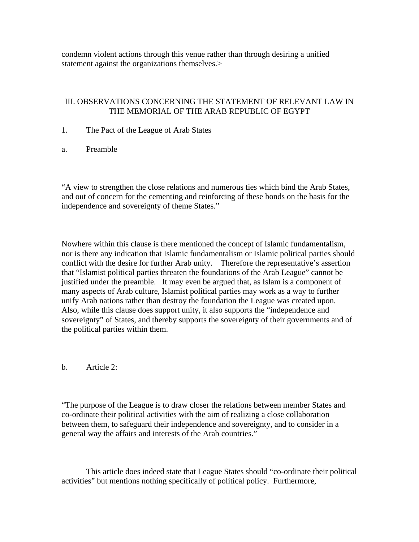condemn violent actions through this venue rather than through desiring a unified statement against the organizations themselves.>

## III. OBSERVATIONS CONCERNING THE STATEMENT OF RELEVANT LAW IN THE MEMORIAL OF THE ARAB REPUBLIC OF EGYPT

- 1. The Pact of the League of Arab States
- a. Preamble

"A view to strengthen the close relations and numerous ties which bind the Arab States, and out of concern for the cementing and reinforcing of these bonds on the basis for the independence and sovereignty of theme States."

Nowhere within this clause is there mentioned the concept of Islamic fundamentalism, nor is there any indication that Islamic fundamentalism or Islamic political parties should conflict with the desire for further Arab unity. Therefore the representative's assertion that "Islamist political parties threaten the foundations of the Arab League" cannot be justified under the preamble. It may even be argued that, as Islam is a component of many aspects of Arab culture, Islamist political parties may work as a way to further unify Arab nations rather than destroy the foundation the League was created upon. Also, while this clause does support unity, it also supports the "independence and sovereignty" of States, and thereby supports the sovereignty of their governments and of the political parties within them.

b. Article 2:

"The purpose of the League is to draw closer the relations between member States and co-ordinate their political activities with the aim of realizing a close collaboration between them, to safeguard their independence and sovereignty, and to consider in a general way the affairs and interests of the Arab countries."

 This article does indeed state that League States should "co-ordinate their political activities" but mentions nothing specifically of political policy. Furthermore,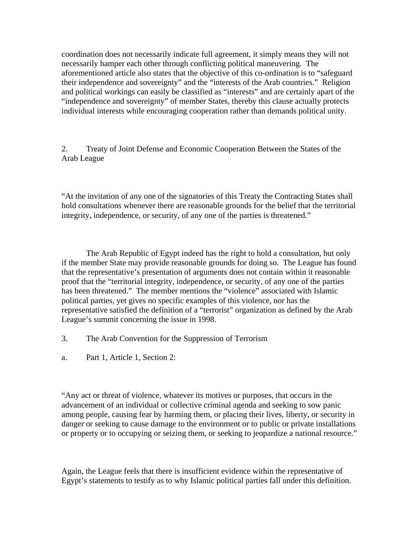coordination does not necessarily indicate full agreement, it simply means they will not necessarily hamper each other through conflicting political maneuvering. The aforementioned article also states that the objective of this co-ordination is to "safeguard their independence and sovereignty" and the "interests of the Arab countries." Religion and political workings can easily be classified as "interests" and are certainly apart of the "independence and sovereignty" of member States, thereby this clause actually protects individual interests while encouraging cooperation rather than demands political unity.

2. Treaty of Joint Defense and Economic Cooperation Between the States of the Arab League

"At the invitation of any one of the signatories of this Treaty the Contracting States shall hold consultations whenever there are reasonable grounds for the belief that the territorial integrity, independence, or security, of any one of the parties is threatened."

 The Arab Republic of Egypt indeed has the right to hold a consultation, but only if the member State may provide reasonable grounds for doing so. The League has found that the representative's presentation of arguments does not contain within it reasonable proof that the "territorial integrity, independence, or security, of any one of the parties has been threatened." The member mentions the "violence" associated with Islamic political parties, yet gives no specific examples of this violence, nor has the representative satisfied the definition of a "terrorist" organization as defined by the Arab League's summit concerning the issue in 1998.

- 3. The Arab Convention for the Suppression of Terrorism
- a. Part 1, Article 1, Section 2:

"Any act or threat of violence, whatever its motives or purposes, that occurs in the advancement of an individual or collective criminal agenda and seeking to sow panic among people, causing fear by harming them, or placing their lives, liberty, or security in danger or seeking to cause damage to the environment or to public or private installations or property or to occupying or seizing them, or seeking to jeopardize a national resource."

Again, the League feels that there is insufficient evidence within the representative of Egypt's statements to testify as to why Islamic political parties fall under this definition.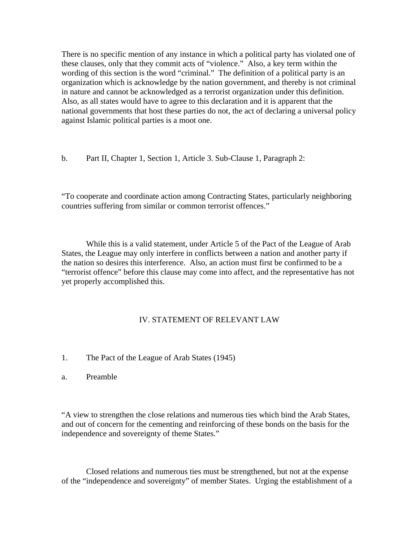There is no specific mention of any instance in which a political party has violated one of these clauses, only that they commit acts of "violence." Also, a key term within the wording of this section is the word "criminal." The definition of a political party is an organization which is acknowledge by the nation government, and thereby is not criminal in nature and cannot be acknowledged as a terrorist organization under this definition. Also, as all states would have to agree to this declaration and it is apparent that the national governments that host these parties do not, the act of declaring a universal policy against Islamic political parties is a moot one.

b. Part II, Chapter 1, Section 1, Article 3. Sub-Clause 1, Paragraph 2:

"To cooperate and coordinate action among Contracting States, particularly neighboring countries suffering from similar or common terrorist offences."

 While this is a valid statement, under Article 5 of the Pact of the League of Arab States, the League may only interfere in conflicts between a nation and another party if the nation so desires this interference. Also, an action must first be confirmed to be a "terrorist offence" before this clause may come into affect, and the representative has not yet properly accomplished this.

### IV. STATEMENT OF RELEVANT LAW

- 1. The Pact of the League of Arab States (1945)
- a. Preamble

"A view to strengthen the close relations and numerous ties which bind the Arab States, and out of concern for the cementing and reinforcing of these bonds on the basis for the independence and sovereignty of theme States."

 Closed relations and numerous ties must be strengthened, but not at the expense of the "independence and sovereignty" of member States. Urging the establishment of a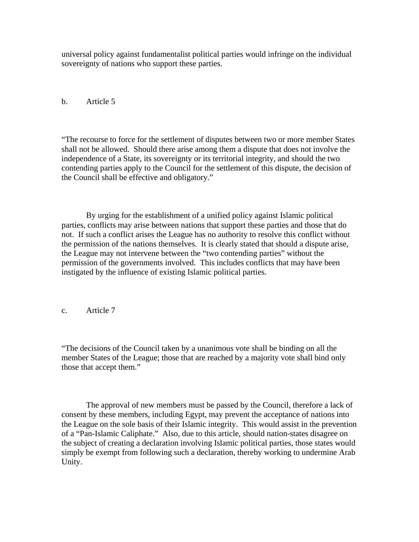universal policy against fundamentalist political parties would infringe on the individual sovereignty of nations who support these parties.

b. Article 5

"The recourse to force for the settlement of disputes between two or more member States shall not be allowed. Should there arise among them a dispute that does not involve the independence of a State, its sovereignty or its territorial integrity, and should the two contending parties apply to the Council for the settlement of this dispute, the decision of the Council shall be effective and obligatory."

 By urging for the establishment of a unified policy against Islamic political parties, conflicts may arise between nations that support these parties and those that do not. If such a conflict arises the League has no authority to resolve this conflict without the permission of the nations themselves. It is clearly stated that should a dispute arise, the League may not intervene between the "two contending parties" without the permission of the governments involved. This includes conflicts that may have been instigated by the influence of existing Islamic political parties.

c. Article 7

"The decisions of the Council taken by a unanimous vote shall be binding on all the member States of the League; those that are reached by a majority vote shall bind only those that accept them."

 The approval of new members must be passed by the Council, therefore a lack of consent by these members, including Egypt, may prevent the acceptance of nations into the League on the sole basis of their Islamic integrity. This would assist in the prevention of a "Pan-Islamic Caliphate." Also, due to this article, should nation-states disagree on the subject of creating a declaration involving Islamic political parties, those states would simply be exempt from following such a declaration, thereby working to undermine Arab Unity.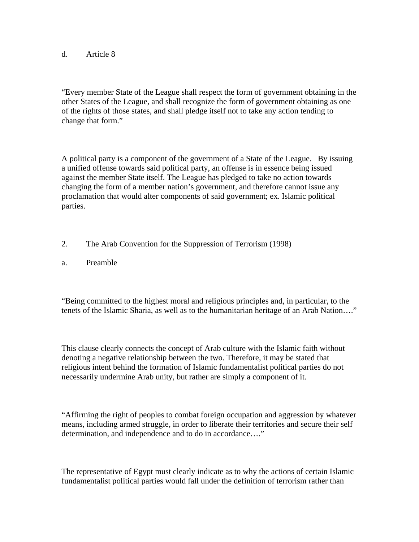## d. Article 8

"Every member State of the League shall respect the form of government obtaining in the other States of the League, and shall recognize the form of government obtaining as one of the rights of those states, and shall pledge itself not to take any action tending to change that form."

A political party is a component of the government of a State of the League. By issuing a unified offense towards said political party, an offense is in essence being issued against the member State itself. The League has pledged to take no action towards changing the form of a member nation's government, and therefore cannot issue any proclamation that would alter components of said government; ex. Islamic political parties.

- 2. The Arab Convention for the Suppression of Terrorism (1998)
- a. Preamble

"Being committed to the highest moral and religious principles and, in particular, to the tenets of the Islamic Sharia, as well as to the humanitarian heritage of an Arab Nation…."

This clause clearly connects the concept of Arab culture with the Islamic faith without denoting a negative relationship between the two. Therefore, it may be stated that religious intent behind the formation of Islamic fundamentalist political parties do not necessarily undermine Arab unity, but rather are simply a component of it.

"Affirming the right of peoples to combat foreign occupation and aggression by whatever means, including armed struggle, in order to liberate their territories and secure their self determination, and independence and to do in accordance…."

The representative of Egypt must clearly indicate as to why the actions of certain Islamic fundamentalist political parties would fall under the definition of terrorism rather than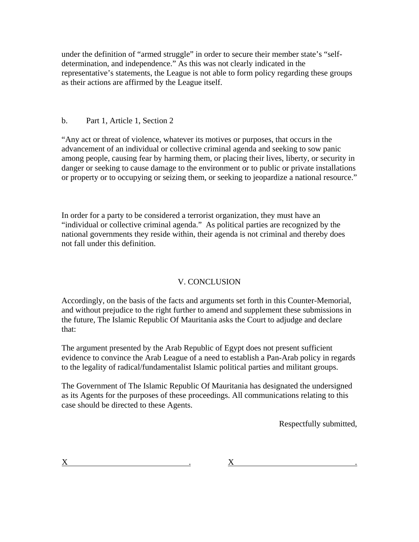under the definition of "armed struggle" in order to secure their member state's "selfdetermination, and independence." As this was not clearly indicated in the representative's statements, the League is not able to form policy regarding these groups as their actions are affirmed by the League itself.

## b. Part 1, Article 1, Section 2

"Any act or threat of violence, whatever its motives or purposes, that occurs in the advancement of an individual or collective criminal agenda and seeking to sow panic among people, causing fear by harming them, or placing their lives, liberty, or security in danger or seeking to cause damage to the environment or to public or private installations or property or to occupying or seizing them, or seeking to jeopardize a national resource."

In order for a party to be considered a terrorist organization, they must have an "individual or collective criminal agenda." As political parties are recognized by the national governments they reside within, their agenda is not criminal and thereby does not fall under this definition.

## V. CONCLUSION

Accordingly, on the basis of the facts and arguments set forth in this Counter-Memorial, and without prejudice to the right further to amend and supplement these submissions in the future, The Islamic Republic Of Mauritania asks the Court to adjudge and declare that:

The argument presented by the Arab Republic of Egypt does not present sufficient evidence to convince the Arab League of a need to establish a Pan-Arab policy in regards to the legality of radical/fundamentalist Islamic political parties and militant groups.

The Government of The Islamic Republic Of Mauritania has designated the undersigned as its Agents for the purposes of these proceedings. All communications relating to this case should be directed to these Agents.

Respectfully submitted,

 $X$  . An analysis of  $X$  . An analysis of  $X$  .